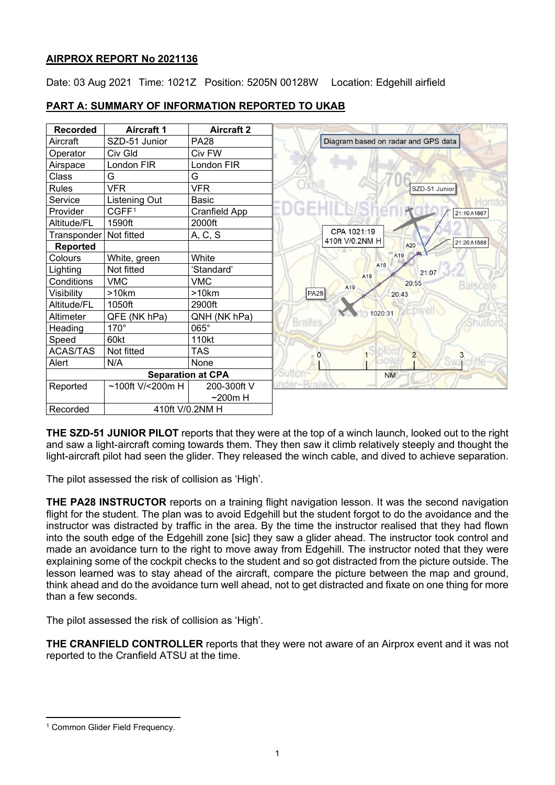# **AIRPROX REPORT No 2021136**

Date: 03 Aug 2021 Time: 1021Z Position: 5205N 00128W Location: Edgehill airfield



# **PART A: SUMMARY OF INFORMATION REPORTED TO UKAB**

**THE SZD-51 JUNIOR PILOT** reports that they were at the top of a winch launch, looked out to the right and saw a light-aircraft coming towards them. They then saw it climb relatively steeply and thought the light-aircraft pilot had seen the glider. They released the winch cable, and dived to achieve separation.

The pilot assessed the risk of collision as 'High'.

**THE PA28 INSTRUCTOR** reports on a training flight navigation lesson. It was the second navigation flight for the student. The plan was to avoid Edgehill but the student forgot to do the avoidance and the instructor was distracted by traffic in the area. By the time the instructor realised that they had flown into the south edge of the Edgehill zone [sic] they saw a glider ahead. The instructor took control and made an avoidance turn to the right to move away from Edgehill. The instructor noted that they were explaining some of the cockpit checks to the student and so got distracted from the picture outside. The lesson learned was to stay ahead of the aircraft, compare the picture between the map and ground, think ahead and do the avoidance turn well ahead, not to get distracted and fixate on one thing for more than a few seconds.

The pilot assessed the risk of collision as 'High'.

**THE CRANFIELD CONTROLLER** reports that they were not aware of an Airprox event and it was not reported to the Cranfield ATSU at the time.

<span id="page-0-0"></span><sup>&</sup>lt;sup>1</sup> Common Glider Field Frequency.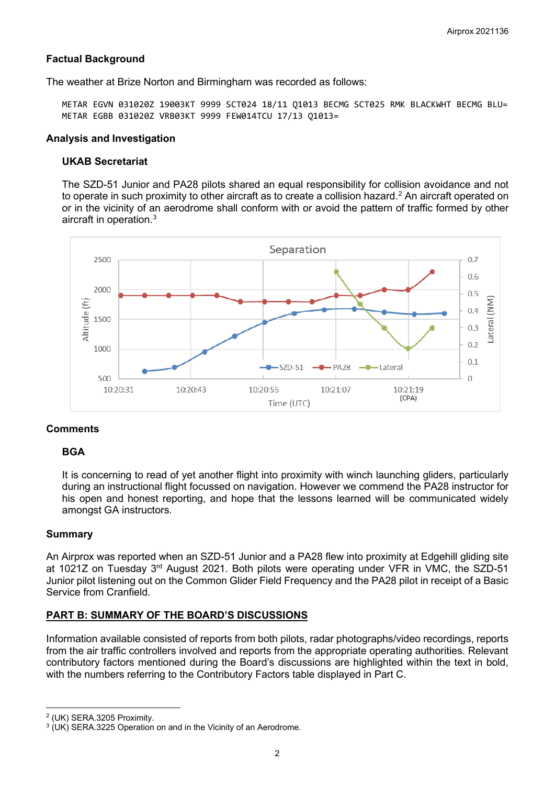# **Factual Background**

The weather at Brize Norton and Birmingham was recorded as follows:

METAR EGVN 031020Z 19003KT 9999 SCT024 18/11 Q1013 BECMG SCT025 RMK BLACKWHT BECMG BLU= METAR EGBB 031020Z VRB03KT 9999 FEW014TCU 17/13 Q1013=

#### **Analysis and Investigation**

## **UKAB Secretariat**

The SZD-51 Junior and PA28 pilots shared an equal responsibility for collision avoidance and not to operate in such proximity to other aircraft as to create a collision hazard. $^{\rm 2}$  $^{\rm 2}$  $^{\rm 2}$  An aircraft operated on or in the vicinity of an aerodrome shall conform with or avoid the pattern of traffic formed by other aircraft in operation. $^3$  $^3$ 



## **Comments**

## **BGA**

It is concerning to read of yet another flight into proximity with winch launching gliders, particularly during an instructional flight focussed on navigation. However we commend the PA28 instructor for his open and honest reporting, and hope that the lessons learned will be communicated widely amongst GA instructors.

## **Summary**

An Airprox was reported when an SZD-51 Junior and a PA28 flew into proximity at Edgehill gliding site at 1021Z on Tuesday 3<sup>rd</sup> August 2021. Both pilots were operating under VFR in VMC, the SZD-51 Junior pilot listening out on the Common Glider Field Frequency and the PA28 pilot in receipt of a Basic Service from Cranfield.

## **PART B: SUMMARY OF THE BOARD'S DISCUSSIONS**

Information available consisted of reports from both pilots, radar photographs/video recordings, reports from the air traffic controllers involved and reports from the appropriate operating authorities. Relevant contributory factors mentioned during the Board's discussions are highlighted within the text in bold, with the numbers referring to the Contributory Factors table displayed in Part C.

<span id="page-1-0"></span><sup>2</sup> (UK) SERA.3205 Proximity.

<span id="page-1-1"></span><sup>3</sup> (UK) SERA.3225 Operation on and in the Vicinity of an Aerodrome.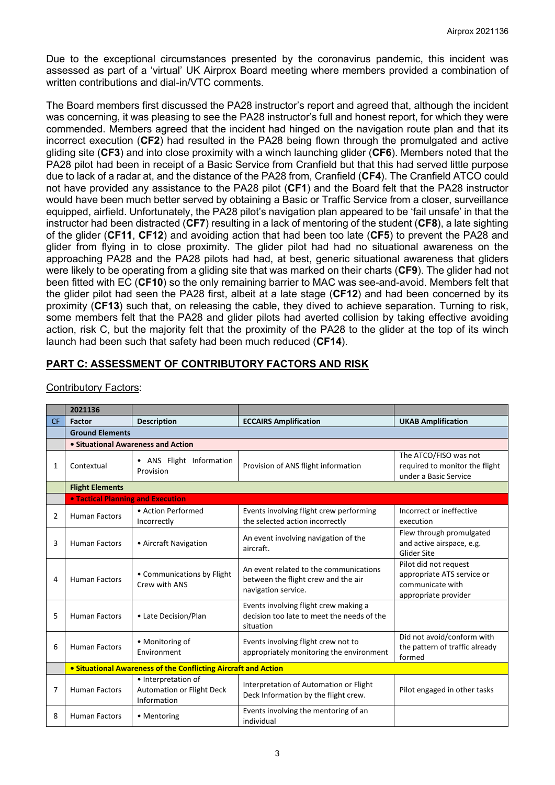Due to the exceptional circumstances presented by the coronavirus pandemic, this incident was assessed as part of a 'virtual' UK Airprox Board meeting where members provided a combination of written contributions and dial-in/VTC comments.

The Board members first discussed the PA28 instructor's report and agreed that, although the incident was concerning, it was pleasing to see the PA28 instructor's full and honest report, for which they were commended. Members agreed that the incident had hinged on the navigation route plan and that its incorrect execution (**CF2**) had resulted in the PA28 being flown through the promulgated and active gliding site (**CF3**) and into close proximity with a winch launching glider (**CF6**). Members noted that the PA28 pilot had been in receipt of a Basic Service from Cranfield but that this had served little purpose due to lack of a radar at, and the distance of the PA28 from, Cranfield (**CF4**). The Cranfield ATCO could not have provided any assistance to the PA28 pilot (**CF1**) and the Board felt that the PA28 instructor would have been much better served by obtaining a Basic or Traffic Service from a closer, surveillance equipped, airfield. Unfortunately, the PA28 pilot's navigation plan appeared to be 'fail unsafe' in that the instructor had been distracted (**CF7**) resulting in a lack of mentoring of the student (**CF8**), a late sighting of the glider (**CF11**, **CF12**) and avoiding action that had been too late (**CF5**) to prevent the PA28 and glider from flying in to close proximity. The glider pilot had had no situational awareness on the approaching PA28 and the PA28 pilots had had, at best, generic situational awareness that gliders were likely to be operating from a gliding site that was marked on their charts (**CF9**). The glider had not been fitted with EC (**CF10**) so the only remaining barrier to MAC was see-and-avoid. Members felt that the glider pilot had seen the PA28 first, albeit at a late stage (**CF12**) and had been concerned by its proximity (**CF13**) such that, on releasing the cable, they dived to achieve separation. Turning to risk, some members felt that the PA28 and glider pilots had averted collision by taking effective avoiding action, risk C, but the majority felt that the proximity of the PA28 to the glider at the top of its winch launch had been such that safety had been much reduced (**CF14**).

# **PART C: ASSESSMENT OF CONTRIBUTORY FACTORS AND RISK**

|           | 2021136                                                        |                                                                        |                                                                                                      |                                                                                                 |  |  |
|-----------|----------------------------------------------------------------|------------------------------------------------------------------------|------------------------------------------------------------------------------------------------------|-------------------------------------------------------------------------------------------------|--|--|
| <b>CF</b> | Factor                                                         | <b>Description</b>                                                     | <b>ECCAIRS Amplification</b>                                                                         | <b>UKAB Amplification</b>                                                                       |  |  |
|           | <b>Ground Elements</b>                                         |                                                                        |                                                                                                      |                                                                                                 |  |  |
|           | • Situational Awareness and Action                             |                                                                        |                                                                                                      |                                                                                                 |  |  |
| 1         | Contextual                                                     | • ANS Flight Information<br>Provision                                  | Provision of ANS flight information                                                                  | The ATCO/FISO was not<br>required to monitor the flight<br>under a Basic Service                |  |  |
|           | <b>Flight Elements</b>                                         |                                                                        |                                                                                                      |                                                                                                 |  |  |
|           | <b>.</b> Tactical Planning and Execution                       |                                                                        |                                                                                                      |                                                                                                 |  |  |
| 2         | <b>Human Factors</b>                                           | • Action Performed<br>Incorrectly                                      | Events involving flight crew performing<br>the selected action incorrectly                           | Incorrect or ineffective<br>execution                                                           |  |  |
| 3         | <b>Human Factors</b>                                           | • Aircraft Navigation                                                  | An event involving navigation of the<br>aircraft.                                                    | Flew through promulgated<br>and active airspace, e.g.<br>Glider Site                            |  |  |
| 4         | <b>Human Factors</b>                                           | • Communications by Flight<br>Crew with ANS                            | An event related to the communications<br>between the flight crew and the air<br>navigation service. | Pilot did not request<br>appropriate ATS service or<br>communicate with<br>appropriate provider |  |  |
| 5         | <b>Human Factors</b>                                           | • Late Decision/Plan                                                   | Events involving flight crew making a<br>decision too late to meet the needs of the<br>situation     |                                                                                                 |  |  |
| 6         | <b>Human Factors</b>                                           | • Monitoring of<br>Environment                                         | Events involving flight crew not to<br>appropriately monitoring the environment                      | Did not avoid/conform with<br>the pattern of traffic already<br>formed                          |  |  |
|           | • Situational Awareness of the Conflicting Aircraft and Action |                                                                        |                                                                                                      |                                                                                                 |  |  |
| 7         | <b>Human Factors</b>                                           | • Interpretation of<br><b>Automation or Flight Deck</b><br>Information | Interpretation of Automation or Flight<br>Deck Information by the flight crew.                       | Pilot engaged in other tasks                                                                    |  |  |
| 8         | <b>Human Factors</b>                                           | • Mentoring                                                            | Events involving the mentoring of an<br>individual                                                   |                                                                                                 |  |  |

Contributory Factors: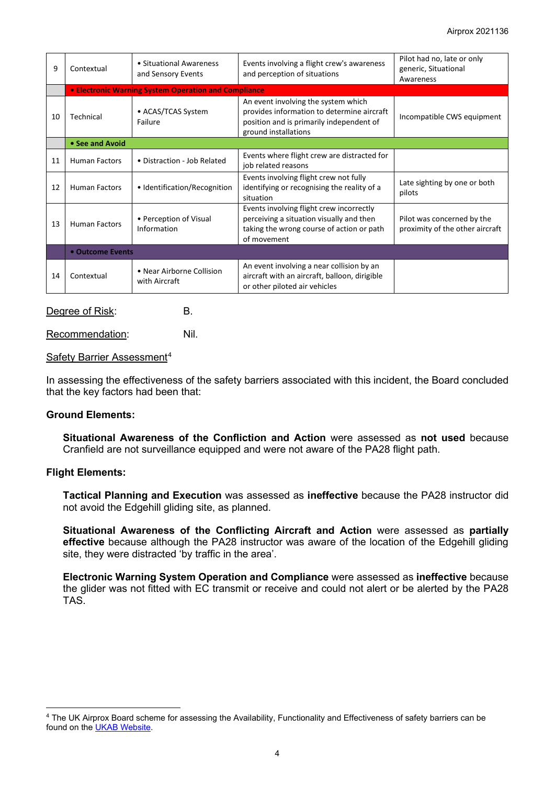| 9  | Contextual                                           | • Situational Awareness<br>and Sensory Events | Events involving a flight crew's awareness<br>and perception of situations                                                                            | Pilot had no, late or only<br>generic, Situational<br>Awareness |  |  |
|----|------------------------------------------------------|-----------------------------------------------|-------------------------------------------------------------------------------------------------------------------------------------------------------|-----------------------------------------------------------------|--|--|
|    | • Electronic Warning System Operation and Compliance |                                               |                                                                                                                                                       |                                                                 |  |  |
| 10 | Technical                                            | • ACAS/TCAS System<br>Failure                 | An event involving the system which<br>provides information to determine aircraft<br>position and is primarily independent of<br>ground installations | Incompatible CWS equipment                                      |  |  |
|    | • See and Avoid                                      |                                               |                                                                                                                                                       |                                                                 |  |  |
| 11 | <b>Human Factors</b>                                 | • Distraction - Job Related                   | Events where flight crew are distracted for<br>job related reasons                                                                                    |                                                                 |  |  |
| 12 | <b>Human Factors</b>                                 | • Identification/Recognition                  | Events involving flight crew not fully<br>identifying or recognising the reality of a<br>situation                                                    | Late sighting by one or both<br>pilots                          |  |  |
| 13 | <b>Human Factors</b>                                 | • Perception of Visual<br>Information         | Events involving flight crew incorrectly<br>perceiving a situation visually and then<br>taking the wrong course of action or path<br>of movement      | Pilot was concerned by the<br>proximity of the other aircraft   |  |  |
|    | • Outcome Events                                     |                                               |                                                                                                                                                       |                                                                 |  |  |
| 14 | Contextual                                           | • Near Airborne Collision<br>with Aircraft    | An event involving a near collision by an<br>aircraft with an aircraft, balloon, dirigible<br>or other piloted air vehicles                           |                                                                 |  |  |

#### Degree of Risk: B.

Recommendation: Nil.

#### Safety Barrier Assessment<sup>[4](#page-3-0)</sup>

In assessing the effectiveness of the safety barriers associated with this incident, the Board concluded that the key factors had been that:

## **Ground Elements:**

**Situational Awareness of the Confliction and Action** were assessed as **not used** because Cranfield are not surveillance equipped and were not aware of the PA28 flight path.

#### **Flight Elements:**

**Tactical Planning and Execution** was assessed as **ineffective** because the PA28 instructor did not avoid the Edgehill gliding site, as planned.

**Situational Awareness of the Conflicting Aircraft and Action** were assessed as **partially effective** because although the PA28 instructor was aware of the location of the Edgehill gliding site, they were distracted 'by traffic in the area'.

**Electronic Warning System Operation and Compliance** were assessed as **ineffective** because the glider was not fitted with EC transmit or receive and could not alert or be alerted by the PA28 TAS.

<span id="page-3-0"></span><sup>4</sup> The UK Airprox Board scheme for assessing the Availability, Functionality and Effectiveness of safety barriers can be found on the [UKAB Website.](http://www.airproxboard.org.uk/Learn-more/Airprox-Barrier-Assessment/)